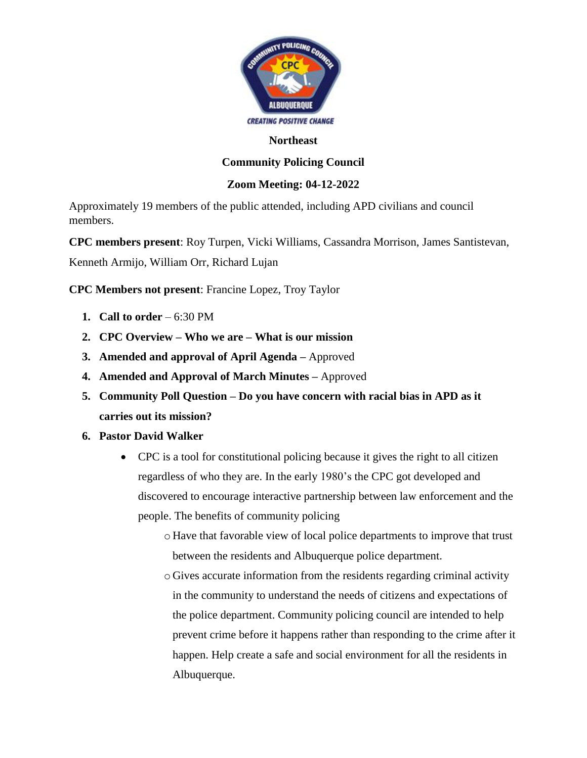

#### **Northeast**

## **Community Policing Council**

## **Zoom Meeting: 04-12-2022**

Approximately 19 members of the public attended, including APD civilians and council members.

**CPC members present**: Roy Turpen, Vicki Williams, Cassandra Morrison, James Santistevan, Kenneth Armijo, William Orr, Richard Lujan

**CPC Members not present**: Francine Lopez, Troy Taylor

- **1. Call to order**  $-6:30 \text{ PM}$
- **2. CPC Overview – Who we are – What is our mission**
- **3. Amended and approval of April Agenda –** Approved
- **4. Amended and Approval of March Minutes –** Approved
- **5. Community Poll Question – Do you have concern with racial bias in APD as it carries out its mission?**
- **6. Pastor David Walker** 
	- CPC is a tool for constitutional policing because it gives the right to all citizen regardless of who they are. In the early 1980's the CPC got developed and discovered to encourage interactive partnership between law enforcement and the people. The benefits of community policing
		- o Have that favorable view of local police departments to improve that trust between the residents and Albuquerque police department.
		- o Gives accurate information from the residents regarding criminal activity in the community to understand the needs of citizens and expectations of the police department. Community policing council are intended to help prevent crime before it happens rather than responding to the crime after it happen. Help create a safe and social environment for all the residents in Albuquerque.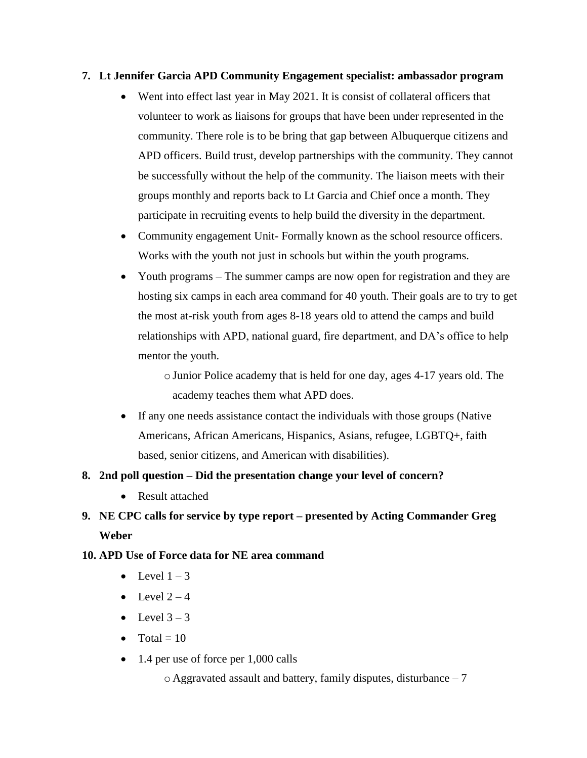#### **7. Lt Jennifer Garcia APD Community Engagement specialist: ambassador program**

- Went into effect last year in May 2021. It is consist of collateral officers that volunteer to work as liaisons for groups that have been under represented in the community. There role is to be bring that gap between Albuquerque citizens and APD officers. Build trust, develop partnerships with the community. They cannot be successfully without the help of the community. The liaison meets with their groups monthly and reports back to Lt Garcia and Chief once a month. They participate in recruiting events to help build the diversity in the department.
- Community engagement Unit- Formally known as the school resource officers. Works with the youth not just in schools but within the youth programs.
- Youth programs The summer camps are now open for registration and they are hosting six camps in each area command for 40 youth. Their goals are to try to get the most at-risk youth from ages 8-18 years old to attend the camps and build relationships with APD, national guard, fire department, and DA's office to help mentor the youth.

oJunior Police academy that is held for one day, ages 4-17 years old. The academy teaches them what APD does.

• If any one needs assistance contact the individuals with those groups (Native Americans, African Americans, Hispanics, Asians, refugee, LGBTQ+, faith based, senior citizens, and American with disabilities).

## **8. 2nd poll question – Did the presentation change your level of concern?**

- Result attached
- **9. NE CPC calls for service by type report – presented by Acting Commander Greg Weber**

## **10. APD Use of Force data for NE area command**

- Level  $1 3$
- Level  $2 4$
- Level  $3 3$
- Total  $= 10$
- 1.4 per use of force per 1,000 calls

 $\circ$  Aggravated assault and battery, family disputes, disturbance  $-7$